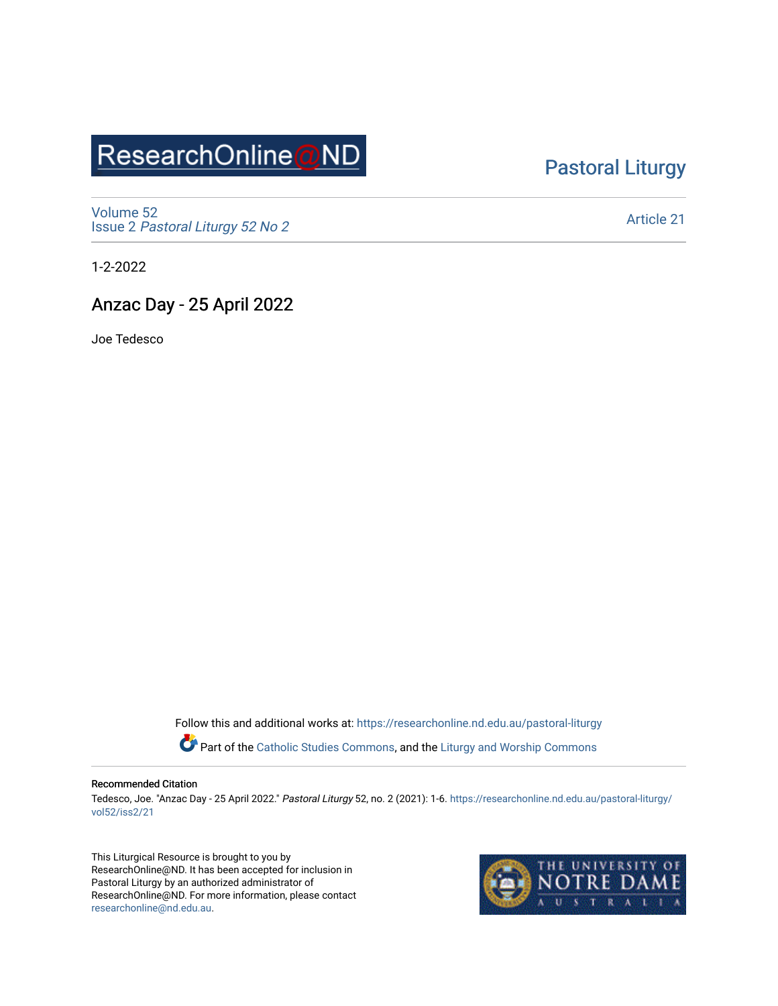# ResearchOnline@ND

### [Pastoral Liturgy](https://researchonline.nd.edu.au/pastoral-liturgy)

[Volume 52](https://researchonline.nd.edu.au/pastoral-liturgy/vol52) Issue 2 [Pastoral Liturgy 52 No 2](https://researchonline.nd.edu.au/pastoral-liturgy/vol52/iss2)

[Article 21](https://researchonline.nd.edu.au/pastoral-liturgy/vol52/iss2/21) 

1-2-2022

#### Anzac Day - 25 April 2022

Joe Tedesco

Follow this and additional works at: [https://researchonline.nd.edu.au/pastoral-liturgy](https://researchonline.nd.edu.au/pastoral-liturgy?utm_source=researchonline.nd.edu.au%2Fpastoral-liturgy%2Fvol52%2Fiss2%2F21&utm_medium=PDF&utm_campaign=PDFCoverPages)

Part of the [Catholic Studies Commons,](http://network.bepress.com/hgg/discipline/1294?utm_source=researchonline.nd.edu.au%2Fpastoral-liturgy%2Fvol52%2Fiss2%2F21&utm_medium=PDF&utm_campaign=PDFCoverPages) and the Liturgy and Worship Commons

#### Recommended Citation

Tedesco, Joe. "Anzac Day - 25 April 2022." Pastoral Liturgy 52, no. 2 (2021): 1-6. [https://researchonline.nd.edu.au/pastoral-liturgy/](https://researchonline.nd.edu.au/pastoral-liturgy/vol52/iss2/21?utm_source=researchonline.nd.edu.au%2Fpastoral-liturgy%2Fvol52%2Fiss2%2F21&utm_medium=PDF&utm_campaign=PDFCoverPages) [vol52/iss2/21](https://researchonline.nd.edu.au/pastoral-liturgy/vol52/iss2/21?utm_source=researchonline.nd.edu.au%2Fpastoral-liturgy%2Fvol52%2Fiss2%2F21&utm_medium=PDF&utm_campaign=PDFCoverPages) 

This Liturgical Resource is brought to you by ResearchOnline@ND. It has been accepted for inclusion in Pastoral Liturgy by an authorized administrator of ResearchOnline@ND. For more information, please contact [researchonline@nd.edu.au.](mailto:researchonline@nd.edu.au)

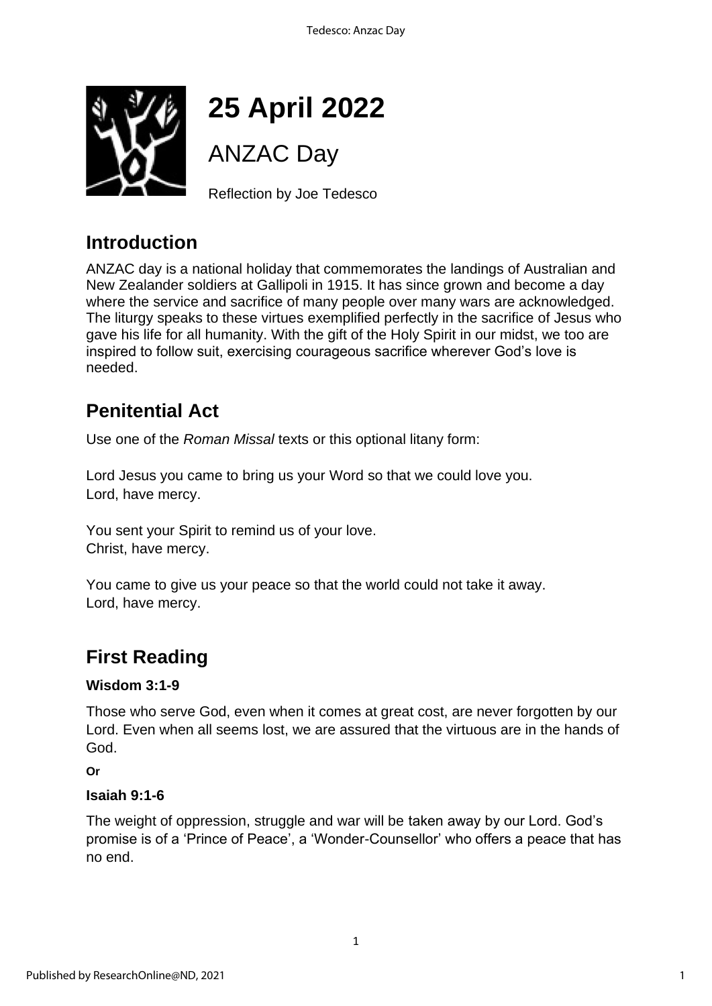

# **25 April 2022**

# ANZAC Day

Reflection by Joe Tedesco

## **Introduction**

ANZAC day is a national holiday that commemorates the landings of Australian and New Zealander soldiers at Gallipoli in 1915. It has since grown and become a day where the service and sacrifice of many people over many wars are acknowledged. The liturgy speaks to these virtues exemplified perfectly in the sacrifice of Jesus who gave his life for all humanity. With the gift of the Holy Spirit in our midst, we too are inspired to follow suit, exercising courageous sacrifice wherever God's love is needed.

## **Penitential Act**

Use one of the *Roman Missal* texts or this optional litany form:

Lord Jesus you came to bring us your Word so that we could love you. Lord, have mercy.

You sent your Spirit to remind us of your love. Christ, have mercy.

You came to give us your peace so that the world could not take it away. Lord, have mercy.

# **First Reading**

#### **Wisdom 3:1-9**

Those who serve God, even when it comes at great cost, are never forgotten by our Lord. Even when all seems lost, we are assured that the virtuous are in the hands of God.

**Or**

#### **Isaiah 9:1-6**

The weight of oppression, struggle and war will be taken away by our Lord. God's promise is of a 'Prince of Peace', a 'Wonder-Counsellor' who offers a peace that has no end.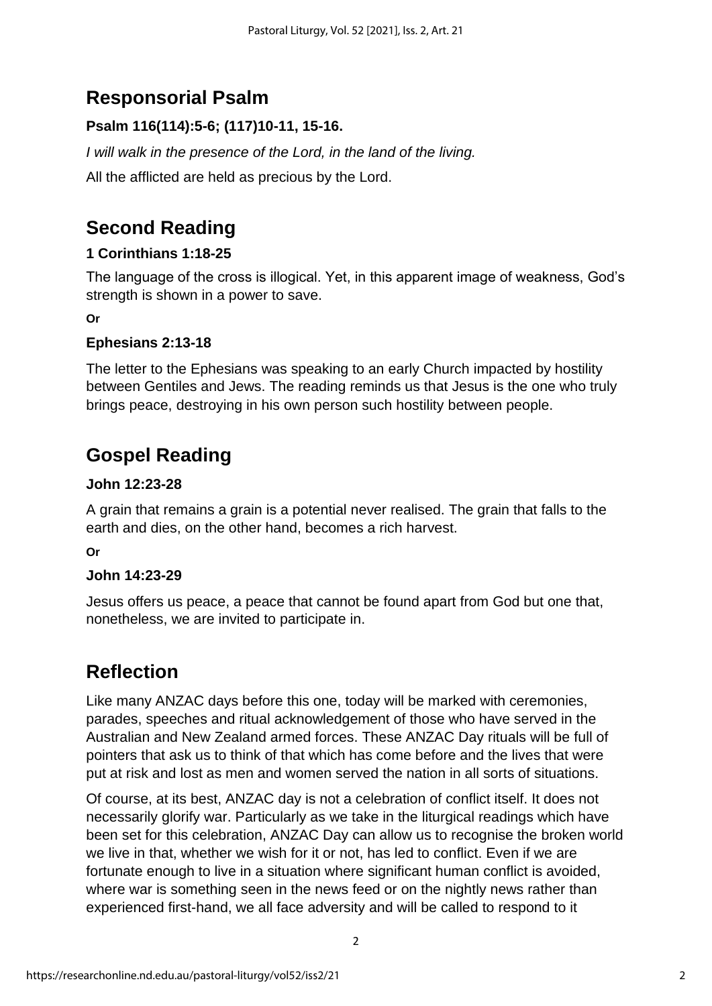# **Responsorial Psalm**

#### **Psalm 116(114):5-6; (117)10-11, 15-16.**

*I* will walk in the presence of the Lord, in the land of the living. All the afflicted are held as precious by the Lord.

## **Second Reading**

#### **1 Corinthians 1:18-25**

The language of the cross is illogical. Yet, in this apparent image of weakness, God's strength is shown in a power to save.

#### **Or**

#### **Ephesians 2:13-18**

The letter to the Ephesians was speaking to an early Church impacted by hostility between Gentiles and Jews. The reading reminds us that Jesus is the one who truly brings peace, destroying in his own person such hostility between people.

## **Gospel Reading**

#### **John 12:23-28**

A grain that remains a grain is a potential never realised. The grain that falls to the earth and dies, on the other hand, becomes a rich harvest.

**Or**

#### **John 14:23-29**

Jesus offers us peace, a peace that cannot be found apart from God but one that, nonetheless, we are invited to participate in.

### **Reflection**

Like many ANZAC days before this one, today will be marked with ceremonies, parades, speeches and ritual acknowledgement of those who have served in the Australian and New Zealand armed forces. These ANZAC Day rituals will be full of pointers that ask us to think of that which has come before and the lives that were put at risk and lost as men and women served the nation in all sorts of situations.

Of course, at its best, ANZAC day is not a celebration of conflict itself. It does not necessarily glorify war. Particularly as we take in the liturgical readings which have been set for this celebration, ANZAC Day can allow us to recognise the broken world we live in that, whether we wish for it or not, has led to conflict. Even if we are fortunate enough to live in a situation where significant human conflict is avoided, where war is something seen in the news feed or on the nightly news rather than experienced first-hand, we all face adversity and will be called to respond to it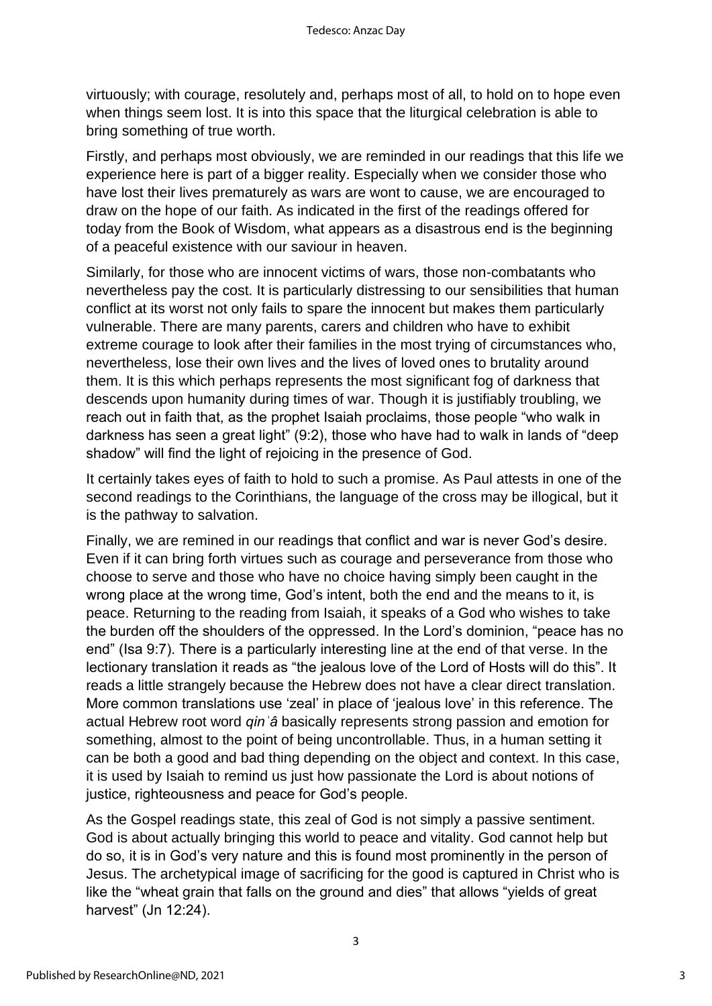virtuously; with courage, resolutely and, perhaps most of all, to hold on to hope even when things seem lost. It is into this space that the liturgical celebration is able to bring something of true worth.

Firstly, and perhaps most obviously, we are reminded in our readings that this life we experience here is part of a bigger reality. Especially when we consider those who have lost their lives prematurely as wars are wont to cause, we are encouraged to draw on the hope of our faith. As indicated in the first of the readings offered for today from the Book of Wisdom, what appears as a disastrous end is the beginning of a peaceful existence with our saviour in heaven.

Similarly, for those who are innocent victims of wars, those non-combatants who nevertheless pay the cost. It is particularly distressing to our sensibilities that human conflict at its worst not only fails to spare the innocent but makes them particularly vulnerable. There are many parents, carers and children who have to exhibit extreme courage to look after their families in the most trying of circumstances who, nevertheless, lose their own lives and the lives of loved ones to brutality around them. It is this which perhaps represents the most significant fog of darkness that descends upon humanity during times of war. Though it is justifiably troubling, we reach out in faith that, as the prophet Isaiah proclaims, those people "who walk in darkness has seen a great light" (9:2), those who have had to walk in lands of "deep shadow" will find the light of rejoicing in the presence of God.

It certainly takes eyes of faith to hold to such a promise. As Paul attests in one of the second readings to the Corinthians, the language of the cross may be illogical, but it is the pathway to salvation.

Finally, we are remined in our readings that conflict and war is never God's desire. Even if it can bring forth virtues such as courage and perseverance from those who choose to serve and those who have no choice having simply been caught in the wrong place at the wrong time, God's intent, both the end and the means to it, is peace. Returning to the reading from Isaiah, it speaks of a God who wishes to take the burden off the shoulders of the oppressed. In the Lord's dominion, "peace has no end" (Isa 9:7). There is a particularly interesting line at the end of that verse. In the lectionary translation it reads as "the jealous love of the Lord of Hosts will do this". It reads a little strangely because the Hebrew does not have a clear direct translation. More common translations use 'zeal' in place of 'jealous love' in this reference. The actual Hebrew root word *qinʾâ* basically represents strong passion and emotion for something, almost to the point of being uncontrollable. Thus, in a human setting it can be both a good and bad thing depending on the object and context. In this case, it is used by Isaiah to remind us just how passionate the Lord is about notions of justice, righteousness and peace for God's people.

As the Gospel readings state, this zeal of God is not simply a passive sentiment. God is about actually bringing this world to peace and vitality. God cannot help but do so, it is in God's very nature and this is found most prominently in the person of Jesus. The archetypical image of sacrificing for the good is captured in Christ who is like the "wheat grain that falls on the ground and dies" that allows "yields of great harvest" (Jn 12:24).

3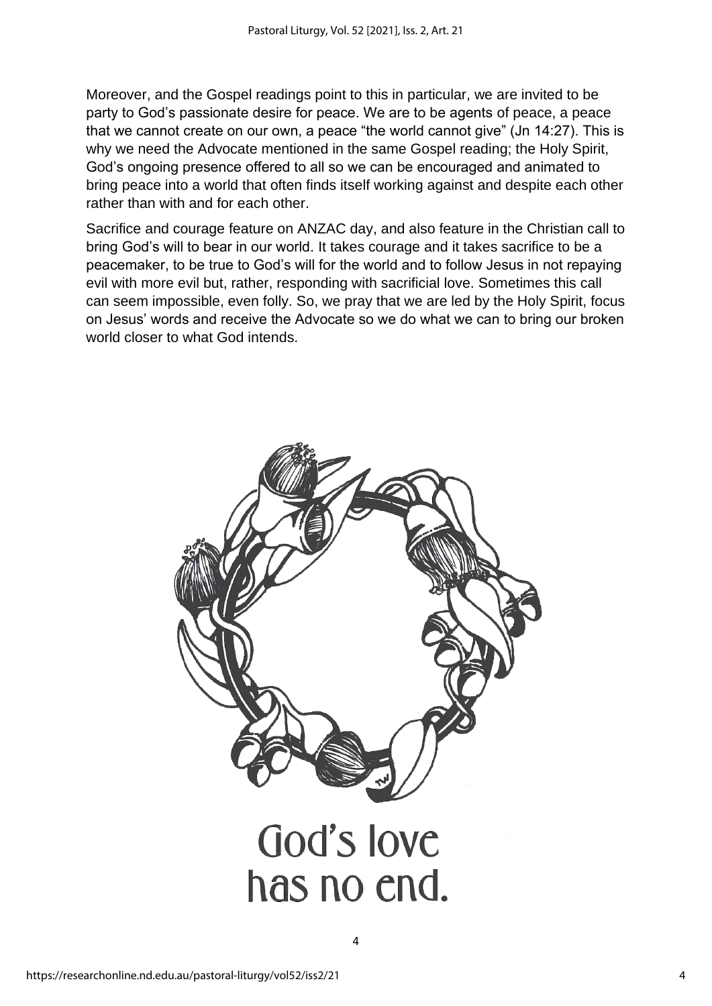Moreover, and the Gospel readings point to this in particular, we are invited to be party to God's passionate desire for peace. We are to be agents of peace, a peace that we cannot create on our own, a peace "the world cannot give" (Jn 14:27). This is why we need the Advocate mentioned in the same Gospel reading; the Holy Spirit, God's ongoing presence offered to all so we can be encouraged and animated to bring peace into a world that often finds itself working against and despite each other rather than with and for each other.

Sacrifice and courage feature on ANZAC day, and also feature in the Christian call to bring God's will to bear in our world. It takes courage and it takes sacrifice to be a peacemaker, to be true to God's will for the world and to follow Jesus in not repaying evil with more evil but, rather, responding with sacrificial love. Sometimes this call can seem impossible, even folly. So, we pray that we are led by the Holy Spirit, focus on Jesus' words and receive the Advocate so we do what we can to bring our broken world closer to what God intends.



4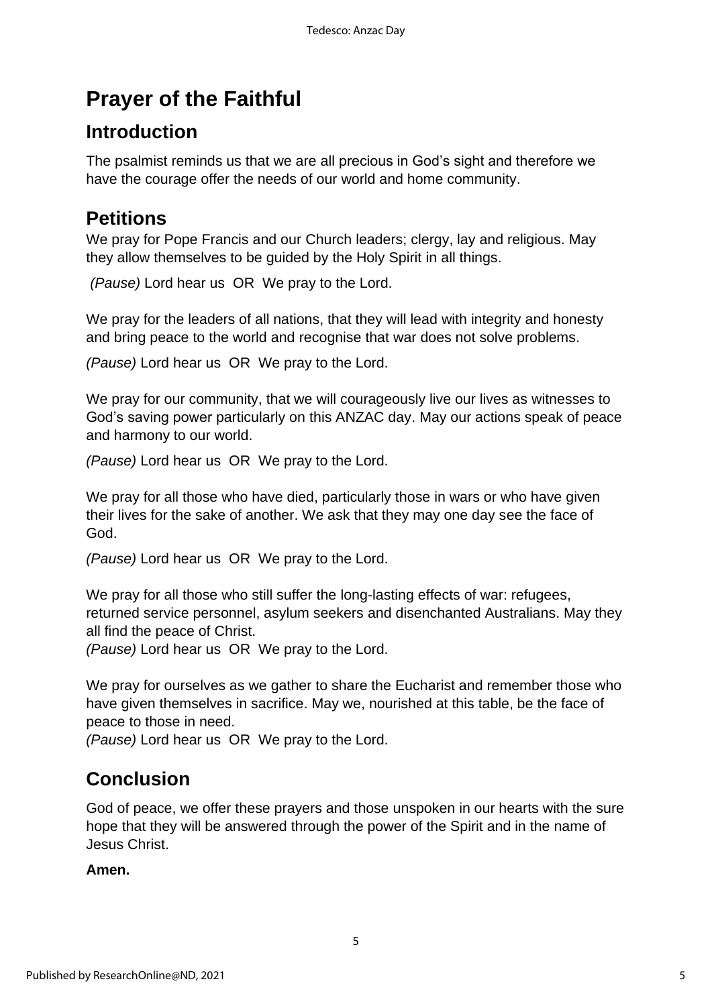# **Prayer of the Faithful**

### **Introduction**

The psalmist reminds us that we are all precious in God's sight and therefore we have the courage offer the needs of our world and home community.

### **Petitions**

We pray for Pope Francis and our Church leaders; clergy, lay and religious. May they allow themselves to be guided by the Holy Spirit in all things.

*(Pause)* Lord hear us OR We pray to the Lord.

We pray for the leaders of all nations, that they will lead with integrity and honesty and bring peace to the world and recognise that war does not solve problems.

*(Pause)* Lord hear us OR We pray to the Lord.

We pray for our community, that we will courageously live our lives as witnesses to God's saving power particularly on this ANZAC day. May our actions speak of peace and harmony to our world.

*(Pause)* Lord hear us OR We pray to the Lord.

We pray for all those who have died, particularly those in wars or who have given their lives for the sake of another. We ask that they may one day see the face of God.

*(Pause)* Lord hear us OR We pray to the Lord.

We pray for all those who still suffer the long-lasting effects of war: refugees, returned service personnel, asylum seekers and disenchanted Australians. May they all find the peace of Christ.

*(Pause)* Lord hear us OR We pray to the Lord.

We pray for ourselves as we gather to share the Eucharist and remember those who have given themselves in sacrifice. May we, nourished at this table, be the face of peace to those in need.

*(Pause)* Lord hear us OR We pray to the Lord.

### **Conclusion**

God of peace, we offer these prayers and those unspoken in our hearts with the sure hope that they will be answered through the power of the Spirit and in the name of Jesus Christ.

5

#### **Amen.**